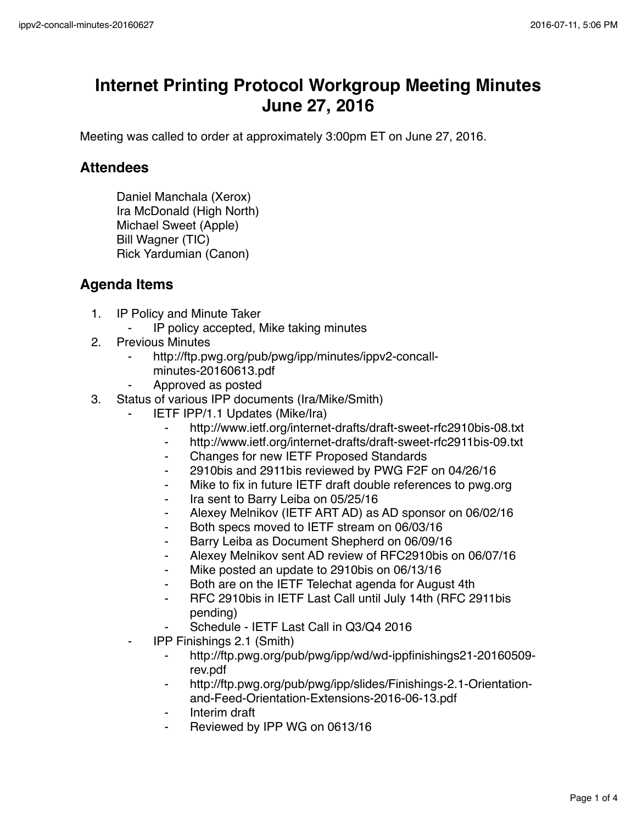## **Internet Printing Protocol Workgroup Meeting Minutes June 27, 2016**

Meeting was called to order at approximately 3:00pm ET on June 27, 2016.

## **Attendees**

Daniel Manchala (Xerox) Ira McDonald (High North) Michael Sweet (Apple) Bill Wagner (TIC) Rick Yardumian (Canon)

## **Agenda Items**

- 1. IP Policy and Minute Taker
	- ⁃ IP policy accepted, Mike taking minutes
- 2. Previous Minutes
	- http://ftp.pwg.org/pub/pwg/ipp/minutes/ippv2-concallminutes-20160613.pdf
	- ⁃ Approved as posted
- 3. Status of various IPP documents (Ira/Mike/Smith)
	- **IETF IPP/1.1 Updates (Mike/Ira)** 
		- http://www.ietf.org/internet-drafts/draft-sweet-rfc2910bis-08.txt
		- ⁃ http://www.ietf.org/internet-drafts/draft-sweet-rfc2911bis-09.txt
		- ⁃ Changes for new IETF Proposed Standards
		- ⁃ 2910bis and 2911bis reviewed by PWG F2F on 04/26/16
		- ⁃ Mike to fix in future IETF draft double references to pwg.org
		- Ira sent to Barry Leiba on 05/25/16
		- Alexey Melnikov (IETF ART AD) as AD sponsor on 06/02/16
		- Both specs moved to IETF stream on 06/03/16
		- ⁃ Barry Leiba as Document Shepherd on 06/09/16
		- ⁃ Alexey Melnikov sent AD review of RFC2910bis on 06/07/16
		- Mike posted an update to 2910bis on 06/13/16
		- Both are on the IETF Telechat agenda for August 4th
		- RFC 2910bis in IETF Last Call until July 14th (RFC 2911bis pending)
		- Schedule IETF Last Call in Q3/Q4 2016
	- ⁃ IPP Finishings 2.1 (Smith)
		- ⁃ http://ftp.pwg.org/pub/pwg/ipp/wd/wd-ippfinishings21-20160509 rev.pdf
		- http://ftp.pwg.org/pub/pwg/ipp/slides/Finishings-2.1-Orientationand-Feed-Orientation-Extensions-2016-06-13.pdf
		- ⁃ Interim draft
		- Reviewed by IPP WG on 0613/16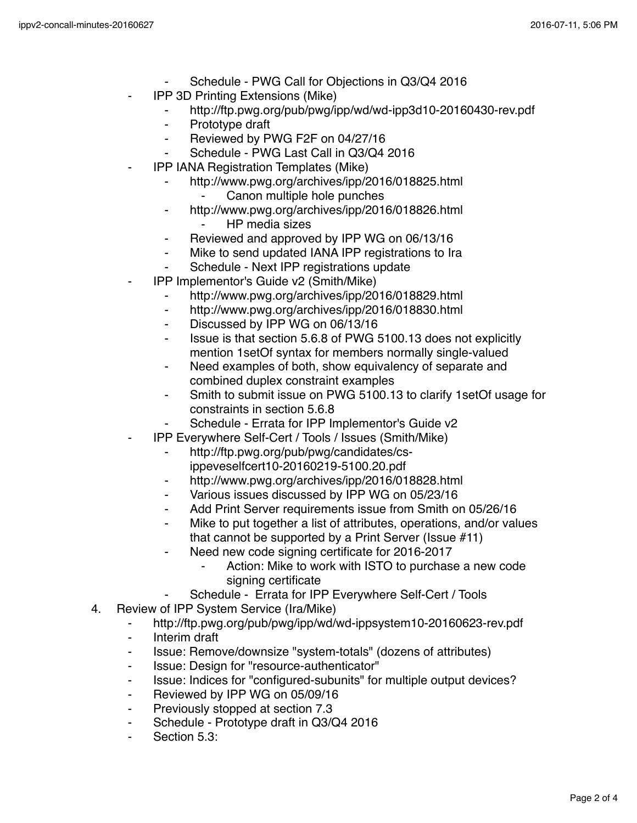- Schedule PWG Call for Objections in Q3/Q4 2016
- IPP 3D Printing Extensions (Mike)
	- ⁃ http://ftp.pwg.org/pub/pwg/ipp/wd/wd-ipp3d10-20160430-rev.pdf
	- ⁃ Prototype draft
	- ⁃ Reviewed by PWG F2F on 04/27/16
	- Schedule PWG Last Call in Q3/Q4 2016
- **IPP IANA Registration Templates (Mike)** 
	- http://www.pwg.org/archives/ipp/2016/018825.html
		- Canon multiple hole punches
	- ⁃ http://www.pwg.org/archives/ipp/2016/018826.html **HP** media sizes
	- ⁃ Reviewed and approved by IPP WG on 06/13/16
	- Mike to send updated IANA IPP registrations to Ira
	- Schedule Next IPP registrations update
- ⁃ IPP Implementor's Guide v2 (Smith/Mike)
	- http://www.pwg.org/archives/ipp/2016/018829.html
	- ⁃ http://www.pwg.org/archives/ipp/2016/018830.html
	- Discussed by IPP WG on 06/13/16
	- Issue is that section 5.6.8 of PWG 5100.13 does not explicitly mention 1setOf syntax for members normally single-valued
	- Need examples of both, show equivalency of separate and combined duplex constraint examples
	- Smith to submit issue on PWG 5100.13 to clarify 1setOf usage for constraints in section 5.6.8
	- Schedule Errata for IPP Implementor's Guide v2
- ⁃ IPP Everywhere Self-Cert / Tools / Issues (Smith/Mike)
	- ⁃ http://ftp.pwg.org/pub/pwg/candidates/csippeveselfcert10-20160219-5100.20.pdf
	- http://www.pwg.org/archives/ipp/2016/018828.html
	- ⁃ Various issues discussed by IPP WG on 05/23/16
	- Add Print Server requirements issue from Smith on 05/26/16
	- Mike to put together a list of attributes, operations, and/or values that cannot be supported by a Print Server (Issue #11)
	- Need new code signing certificate for 2016-2017
		- Action: Mike to work with ISTO to purchase a new code signing certificate
		- Schedule Errata for IPP Everywhere Self-Cert / Tools
- 4. Review of IPP System Service (Ira/Mike)
	- ⁃ http://ftp.pwg.org/pub/pwg/ipp/wd/wd-ippsystem10-20160623-rev.pdf
	- ⁃ Interim draft
	- ⁃ Issue: Remove/downsize "system-totals" (dozens of attributes)
	- ⁃ Issue: Design for "resource-authenticator"
	- ⁃ Issue: Indices for "configured-subunits" for multiple output devices?
	- ⁃ Reviewed by IPP WG on 05/09/16
	- ⁃ Previously stopped at section 7.3
	- ⁃ Schedule Prototype draft in Q3/Q4 2016
	- Section 5.3: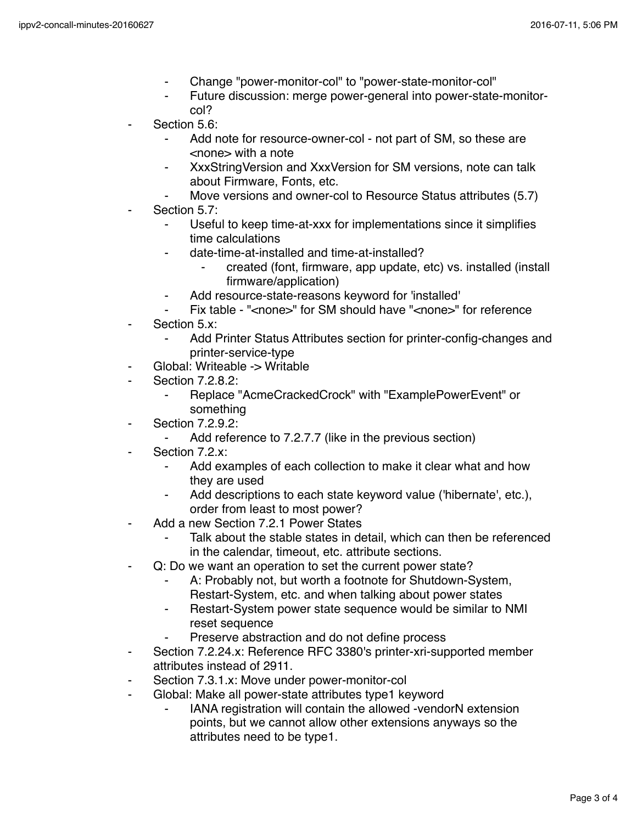- ⁃ Change "power-monitor-col" to "power-state-monitor-col"
- ⁃ Future discussion: merge power-general into power-state-monitorcol?
- Section 5.6:
	- Add note for resource-owner-col not part of SM, so these are <none> with a note
	- XxxStringVersion and XxxVersion for SM versions, note can talk about Firmware, Fonts, etc.
	- Move versions and owner-col to Resource Status attributes (5.7)
- Section 5.7:
	- Useful to keep time-at-xxx for implementations since it simplifies time calculations
	- date-time-at-installed and time-at-installed?
		- ⁃ created (font, firmware, app update, etc) vs. installed (install firmware/application)
	- Add resource-state-reasons keyword for 'installed'
	- Fix table "<none>" for SM should have "<none>" for reference
- Section 5.x:
	- Add Printer Status Attributes section for printer-config-changes and printer-service-type
- Global: Writeable -> Writable
- Section 7.2.8.2:
	- Replace "AcmeCrackedCrock" with "ExamplePowerEvent" or something
- ⁃ Section 7.2.9.2:
	- Add reference to 7.2.7.7 (like in the previous section)
- Section 7.2.x:
	- Add examples of each collection to make it clear what and how they are used
	- Add descriptions to each state keyword value ('hibernate', etc.), order from least to most power?
- Add a new Section 7.2.1 Power States
	- Talk about the stable states in detail, which can then be referenced in the calendar, timeout, etc. attribute sections.
- ⁃ Q: Do we want an operation to set the current power state?
	- A: Probably not, but worth a footnote for Shutdown-System, Restart-System, etc. and when talking about power states
	- Restart-System power state sequence would be similar to NMI reset sequence
	- Preserve abstraction and do not define process
- Section 7.2.24.x: Reference RFC 3380's printer-xri-supported member attributes instead of 2911.
- Section 7.3.1.x: Move under power-monitor-col
- Global: Make all power-state attributes type1 keyword
	- IANA registration will contain the allowed -vendorN extension points, but we cannot allow other extensions anyways so the attributes need to be type1.